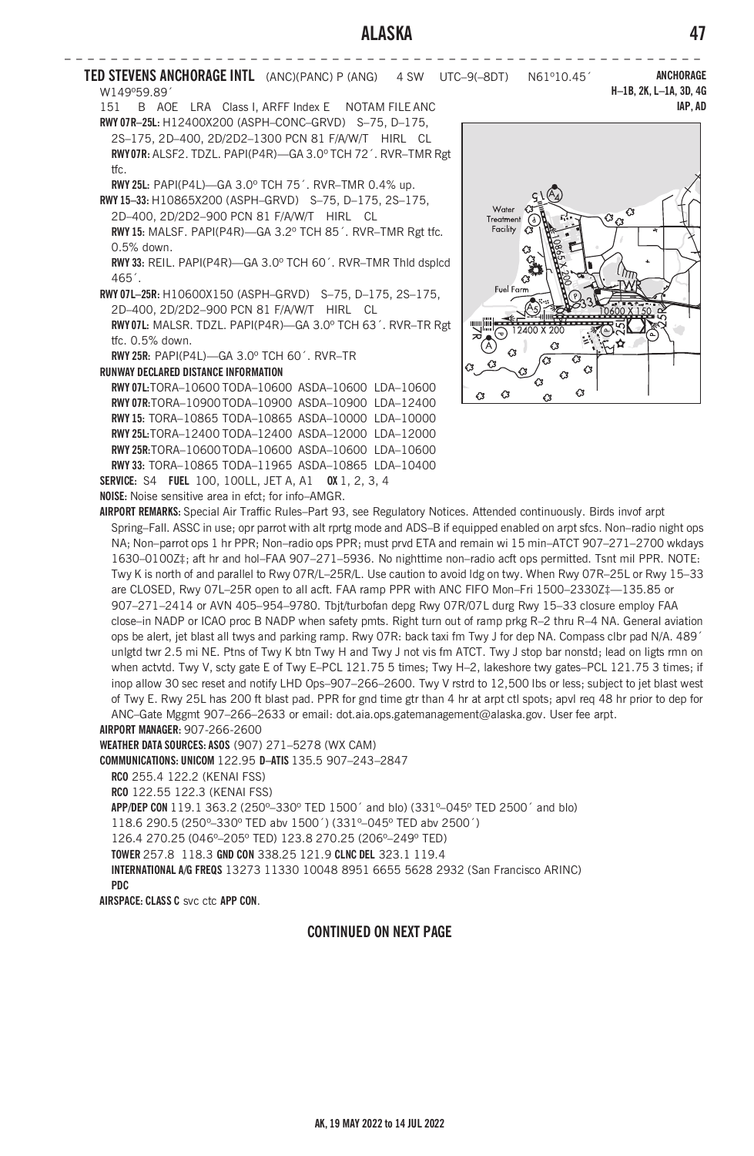**IAP, AD**

**– – – – – – – – – – – – – – – – – – – – – – – – – – – – – – – – – – – – – – – – – – – – – – – – – – – – – – – TED STEVENS ANCHORAGE INTL** (ANC)(PANC) P (ANG) 4 SW UTC–9(–8DT) N61º10.45´ W149º59.89´ **ANCHORAGE H–1B, 2K, L–1A, 3D, 4G**

151 B AOE LRA Class I, ARFF Index E NOTAM FILE ANC **RWY 07R–25L:** H12400X200 (ASPH–CONC–GRVD) S–75, D–175,

2S–175, 2D–400, 2D/2D2–1300 PCN 81 F/A/W/T HIRL CL **RWY 07R:** ALSF2. TDZL. PAPI(P4R)—GA 3.0º TCH 72´. RVR–TMR Rgt tfc.

**RWY 25L:** PAPI(P4L)—GA 3.0º TCH 75´. RVR–TMR 0.4% up.

**RWY 15–33:** H10865X200 (ASPH–GRVD) S–75, D–175, 2S–175, 2D–400, 2D/2D2–900 PCN 81 F/A/W/T HIRL CL **RWY 15:** MALSF. PAPI(P4R)—GA 3.2º TCH 85´. RVR–TMR Rgt tfc.

0.5% down.

**RWY 33:** REIL. PAPI(P4R)—GA 3.0º TCH 60´. RVR–TMR Thld dsplcd 465´.

**RWY 07L–25R:** H10600X150 (ASPH–GRVD) S–75, D–175, 2S–175, 2D–400, 2D/2D2–900 PCN 81 F/A/W/T HIRL CL **RWY 07L:** MALSR. TDZL. PAPI(P4R)—GA 3.0º TCH 63´. RVR–TR Rgt tfc. 0.5% down.

**RWY 25R:** PAPI(P4L)—GA 3.0º TCH 60´. RVR–TR

**RUNWAY DECLARED DISTANCE INFORMATION**

**RWY 07L:**TORA–10600 TODA–10600 ASDA–10600 LDA–10600 **RWY 07R:**TORA–10900TODA–10900 ASDA–10900 LDA–12400 **RWY 15:** TORA–10865 TODA–10865 ASDA–10000 LDA–10000 **RWY 25L:**TORA–12400 TODA–12400 ASDA–12000 LDA–12000 **RWY 25R:**TORA–10600TODA–10600 ASDA–10600 LDA–10600 **RWY 33:** TORA–10865 TODA–11965 ASDA–10865 LDA–10400 **SERVICE:** S4 **FUEL** 100, 100LL, JET A, A1 **OX** 1, 2, 3, 4

**NOISE:** Noise sensitive area in efct; for info–AMGR.

Water Ò Facility Ĉ Fuel Fam Ō  $\mathcal{L}$ Ġ, Ø  $\sqrt{3}$ Ċ3  $\alpha$ 

**AIRPORT REMARKS:** Special Air Traffic Rules–Part 93, see Regulatory Notices. Attended continuously. Birds invof arpt Spring–Fall. ASSC in use; opr parrot with alt rprtg mode and ADS–B if equipped enabled on arpt sfcs. Non–radio night ops NA; Non–parrot ops 1 hr PPR; Non–radio ops PPR; must prvd ETA and remain wi 15 min–ATCT 907–271–2700 wkdays 1630–0100Z‡; aft hr and hol–FAA 907–271–5936. No nighttime non–radio acft ops permitted. Tsnt mil PPR. NOTE: Twy K is north of and parallel to Rwy 07R/L–25R/L. Use caution to avoid ldg on twy. When Rwy 07R–25L or Rwy 15–33 are CLOSED, Rwy 07L–25R open to all acft. FAA ramp PPR with ANC FIFO Mon–Fri 1500–2330Z‡—135.85 or 907–271–2414 or AVN 405–954–9780. Tbjt/turbofan depg Rwy 07R/07L durg Rwy 15–33 closure employ FAA close–in NADP or ICAO proc B NADP when safety pmts. Right turn out of ramp prkg R–2 thru R–4 NA. General aviation ops be alert, jet blast all twys and parking ramp. Rwy 07R: back taxi fm Twy J for dep NA. Compass clbr pad N/A. 489´ unlgtd twr 2.5 mi NE. Ptns of Twy K btn Twy H and Twy J not vis fm ATCT. Twy J stop bar nonstd; lead on ligts rmn on when actvtd. Twy V, scty gate E of Twy E–PCL 121.75 5 times; Twy H–2, lakeshore twy gates–PCL 121.75 3 times; if inop allow 30 sec reset and notify LHD Ops–907–266–2600. Twy V rstrd to 12,500 lbs or less; subject to jet blast west of Twy E. Rwy 25L has 200 ft blast pad. PPR for gnd time gtr than 4 hr at arpt ctl spots; apvl req 48 hr prior to dep for ANC–Gate Mggmt 907–266–2633 or email: dot.aia.ops.gatemanagement@alaska.gov. User fee arpt.

**AIRPORT MANAGER:** 907-266-2600

**WEATHER DATA SOURCES: ASOS** (907) 271–5278 (WX CAM)

**COMMUNICATIONS: UNICOM** 122.95 **D–ATIS** 135.5 907–243–2847

**RCO** 255.4 122.2 (KENAI ESS)

**RCO** 122.55 122.3 (KENAI FSS)

**APP/DEP CON** 119.1 363.2 (250º–330º TED 1500´ and blo) (331º–045º TED 2500´ and blo) 118.6 290.5 (250º–330º TED abv 1500´) (331º–045º TED abv 2500´) 126.4 270.25 (046º–205º TED) 123.8 270.25 (206º–249º TED) **TOWER** 257.8 118.3 **GND CON** 338.25 121.9 **CLNC DEL** 323.1 119.4 **INTERNATIONAL A/G FREQS** 13273 11330 10048 8951 6655 5628 2932 (San Francisco ARINC) **PDC**

**AIRSPACE: CLASS C** svc ctc **APP CON**.

## **CONTINUED ON NEXT PAGE**